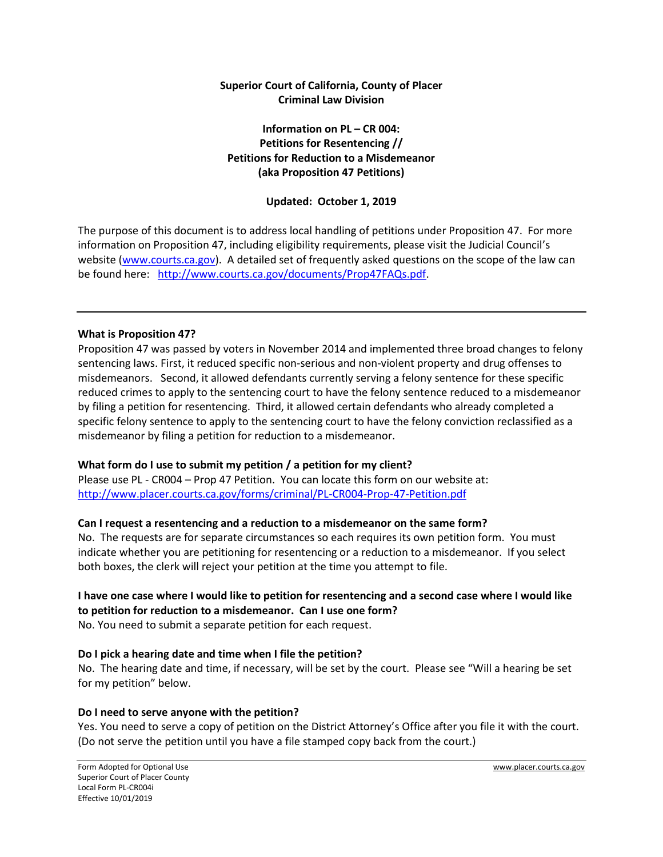## **Superior Court of California, County of Placer Criminal Law Division**

## **Information on PL – CR 004: Petitions for Resentencing // Petitions for Reduction to a Misdemeanor (aka Proposition 47 Petitions)**

# **Updated: October 1, 2019**

The purpose of this document is to address local handling of petitions under Proposition 47. For more information on Proposition 47, including eligibility requirements, please visit the Judicial Council's website [\(www.courts.ca.gov\)](http://www.courts.ca.gov/). A detailed set of frequently asked questions on the scope of the law can be found here: [http://www.courts.ca.gov/documents/Prop47FAQs.pdf.](http://www.courts.ca.gov/documents/Prop47FAQs.pdf)

#### **What is Proposition 47?**

Proposition 47 was passed by voters in November 2014 and implemented three broad changes to felony sentencing laws. First, it reduced specific non-serious and non-violent property and drug offenses to misdemeanors. Second, it allowed defendants currently serving a felony sentence for these specific reduced crimes to apply to the sentencing court to have the felony sentence reduced to a misdemeanor by filing a petition for resentencing. Third, it allowed certain defendants who already completed a specific felony sentence to apply to the sentencing court to have the felony conviction reclassified as a misdemeanor by filing a petition for reduction to a misdemeanor.

## **What form do I use to submit my petition / a petition for my client?**

Please use PL - CR004 – Prop 47 Petition. You can locate this form on our website at: <http://www.placer.courts.ca.gov/forms/criminal/PL-CR004-Prop-47-Petition.pdf>

## **Can I request a resentencing and a reduction to a misdemeanor on the same form?**

No. The requests are for separate circumstances so each requires its own petition form. You must indicate whether you are petitioning for resentencing or a reduction to a misdemeanor. If you select both boxes, the clerk will reject your petition at the time you attempt to file.

#### **I have one case where I would like to petition for resentencing and a second case where I would like to petition for reduction to a misdemeanor. Can I use one form?**

No. You need to submit a separate petition for each request.

## **Do I pick a hearing date and time when I file the petition?**

No. The hearing date and time, if necessary, will be set by the court. Please see "Will a hearing be set for my petition" below.

## **Do I need to serve anyone with the petition?**

Yes. You need to serve a copy of petition on the District Attorney's Office after you file it with the court. (Do not serve the petition until you have a file stamped copy back from the court.)